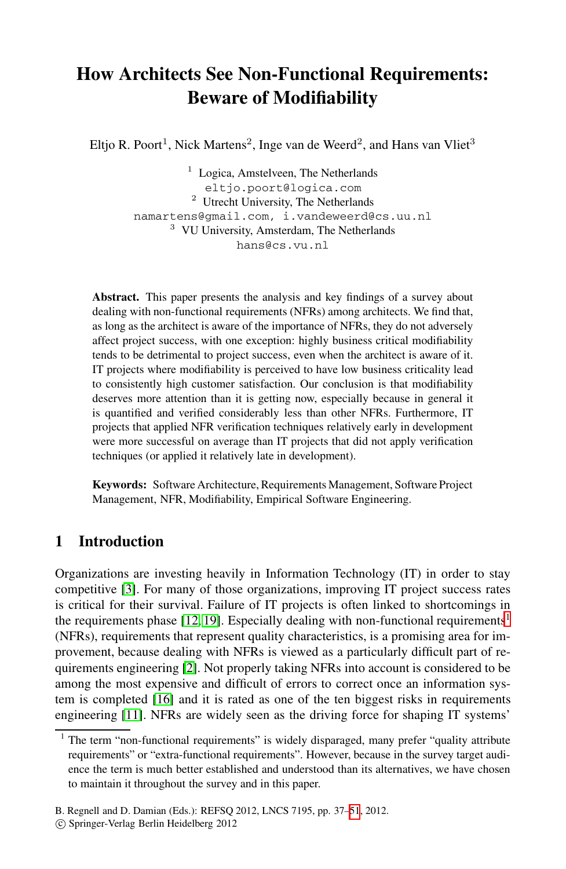# **How Architects See Non-Functional Requirements: Beware of Modifiability**

Eltjo R. Poort<sup>1</sup>, Nick Martens<sup>2</sup>, Inge van de Weerd<sup>2</sup>, and Hans van Vliet<sup>3</sup>

 $1$  Logica, Amstelveen, The Netherlands eltjo.poort@logica.com <sup>2</sup> Utrecht University, The Netherlands namartens@gmail.com, i.vandeweerd@cs.uu.nl <sup>3</sup> VU University, Amsterdam, The Netherlands hans@cs.vu.nl

**Abstract.** This paper presents the analysis and key findings of a survey about dealing with non-functional requirements (NFRs) among architects. We find that, as long as the architect is aware of the importance of NFRs, they do not adversely affect project success, with one exception: highly business critical modifiability tends to be detrimental to project success, even when the architect is aware of it. IT projects where modifiability is perceived to have low business criticality lead to consistently high customer satisfaction. Our conclusion is that modifiability deserves more attention than it is getting now, especially because in general it is quantified and verified considerably less than other NFRs. Furthermore, IT projects that applied NFR verification techniques relatively early in development were more successful on average than IT projects that did not apply verification techniques (or applied it relatively late in development).

**Keywords:** Software Architecture, Requirements Management, Software Project [Man](#page-14-0)agement, NFR, Modifiability, Empirical Software Engineer[in](#page-0-0)g.

# <span id="page-0-0"></span>**1 [In](#page-13-0)troduction**

[O](#page-14-1)rganizations are investing heavily in Information Technology (IT) in order to stay competitive [3]. For many of those organizations, improving IT project success rates is critical for their survival. Failure of IT projects is often linked to shortcomings in the requirements phase  $[12, 19]$ . Especially dealing with non-functional requirements<sup>1</sup> (NFRs), requirements that represent quality characteristics, is a promising area for improvement, because dealing with NFRs is viewed as a particularly difficult part of requirements engineering [2]. Not properly taking NFRs into account is considered to be among the most expensive and dif[fic](#page-14-2)ult of errors to correct once an information system is completed [16] and it is rated as one of the ten biggest risks in requirements engineering [11]. NFRs are widely seen as the driving force for shaping IT systems'

<sup>1</sup> The term "non-functional requirements" is widely disparaged, many prefer "quality attribute requirements" or "extra-functional requirements". However, because in the survey target audience the term is much better established and understood than its alternatives, we have chosen to maintain it throughout the survey and in this paper.

B. Regnell and D. Damian (Eds.): REFSQ 2012, LNCS 7195, pp. 37–51, 2012.

<sup>-</sup>c Springer-Verlag Berlin Heidelberg 2012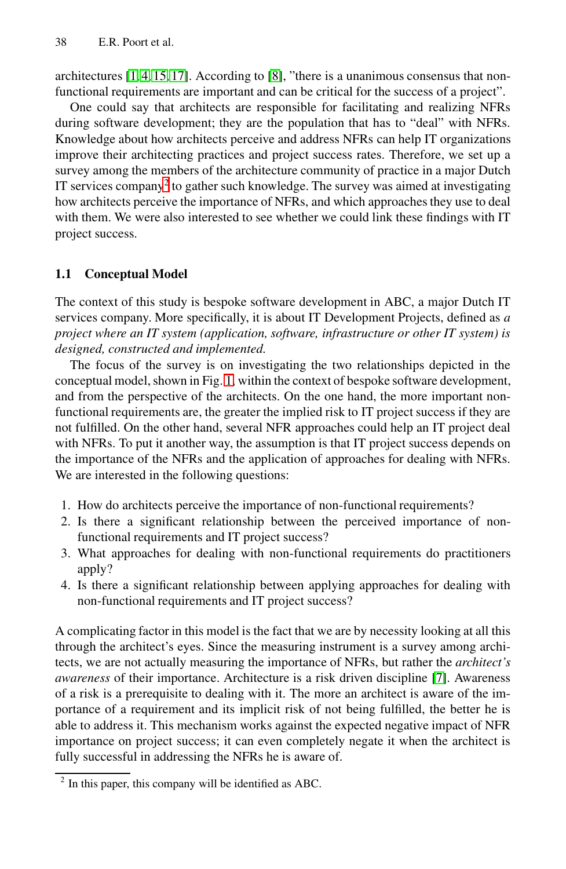[a](#page-1-0)rchitectures [1, 4, 15, 17]. According to [8], "there is a unanimous consensus that nonfunctional requirements are important and can be critical for the success of a project".

One could say that architects are responsible for facilitating and realizing NFRs during software development; they are the population that has to "deal" with NFRs. Knowledge about how architects perceive and address NFRs can help IT organizations improve their architecting practices and project success rates. Therefore, we set up a survey among the members of the architecture community of practice in a major Dutch IT services company<sup>2</sup> to gather such knowledge. The survey was aimed at investigating how architects perceive the importance of NFRs, and which approaches they use to deal with them. We were also interested to see whether we could link these findings with IT project success.

#### **1.1 Conceptual Model**

The context of this study is bespoke software development in ABC, a major Dutch IT services company. More specifically, it is about IT Development Projects, defined as *a project where an IT system (application, software, infrastructure or other IT system) is designed, constructed and implemented.*

The focus of the survey is on investigating the two relationships depicted in the conceptual model, shown in Fig. 1, within the context of bespoke software development, and from the perspective of the architects. On the one hand, the more important nonfunctional requirements are, the greater the implied risk to IT project success if they are not fulfilled. On the other hand, several NFR approaches could help an IT project deal with NFRs. To put it another way, the assumption is that IT project success depends on the importance of the NFRs and the application of approaches for dealing with NFRs. We are interested in the following questions:

- 1. How do architects perceive the importance of non-functional requirements?
- 2. Is there a significant relationship between the perceived importance of nonfunctional requirements and IT project success?
- <span id="page-1-0"></span>3. What approaches for dealing with non-functi[on](#page-13-1)al requirements do practitioners apply?
- 4. Is there a significant relationship between applying approaches for dealing with non-functional requirements and IT project success?

A complicating factor in this model is the fact that we are by necessity looking at all this through the architect's eyes. Since the measuring instrument is a survey among architects, we are not actually measuring the importance of NFRs, but rather the *architect's awareness* of their importance. Architecture is a risk driven discipline [7]. Awareness of a risk is a prerequisite to dealing with it. The more an architect is aware of the importance of a requirement and its implicit risk of not being fulfilled, the better he is able to address it. This mechanism works against the expected negative impact of NFR importance on project success; it can even completely negate it when the architect is fully successful in addressing the NFRs he is aware of.

<sup>&</sup>lt;sup>2</sup> In this paper, this company will be identified as ABC.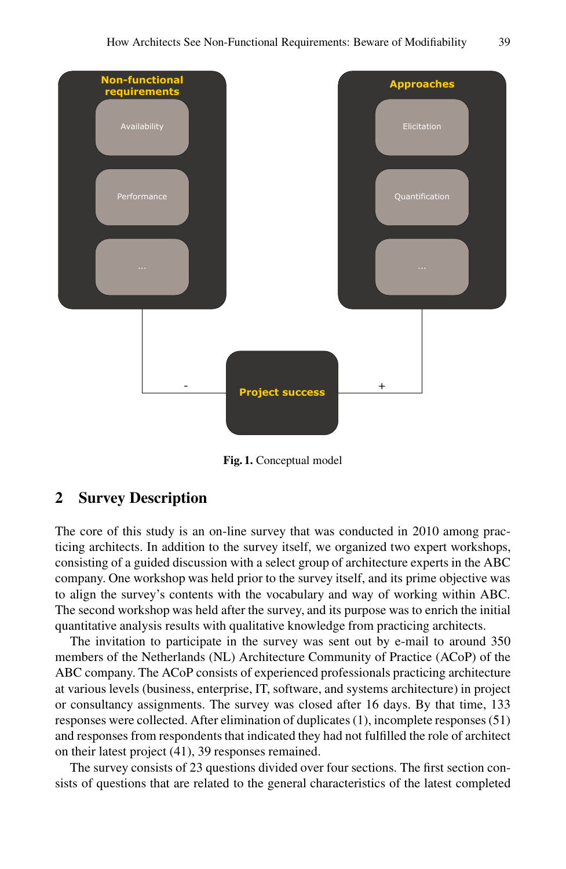

**Fig. 1.** Conceptual model

# **2 Survey Description**

The core of this study is an on-line survey that was conducted in 2010 among practicing architects. In addition to the survey itself, we organized two expert workshops, consisting of a guided discussion with a select group of architecture experts in the ABC company. One workshop was held prior to the survey itself, and its prime objective was to align the survey's contents with the vocabulary and way of working within ABC. The second workshop was held after the survey, and its purpose was to enrich the initial quantitative analysis results with qualitative knowledge from practicing architects.

The invitation to participate in the survey was sent out by e-mail to around 350 members of the Netherlands (NL) Architecture Community of Practice (ACoP) of the ABC company. The ACoP consists of experienced professionals practicing architecture at various levels (business, enterprise, IT, software, and systems architecture) in project or consultancy assignments. The survey was closed after 16 days. By that time, 133 responses were collected. After elimination of duplicates (1), incomplete responses (51) and responses from respondents that indicated they had not fulfilled the role of architect on their latest project (41), 39 responses remained.

The survey consists of 23 questions divided over four sections. The first section consists of questions that are related to the general characteristics of the latest completed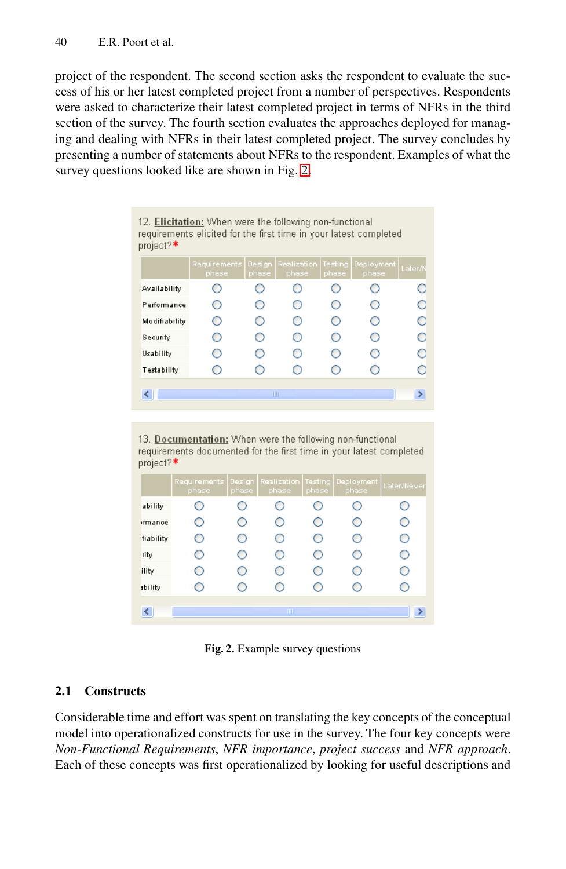project of the respondent. The second section asks the respondent to evaluate the success of his or her latest completed project from a number of perspectives. Respondents were asked to characterize their latest completed project in terms of NFRs in the third section of the survey. The fourth section evaluates the approaches deployed for managing and dealing with NFRs in their latest completed project. The survey concludes by presenting a number of statements about NFRs to the respondent. Examples of what the survey questions looked like are shown in Fig. 2.





|           | Requirements   Design   Realization   Testing   Deployment<br>phase | phase                           | phase | phase | phase                  | Later/Never |
|-----------|---------------------------------------------------------------------|---------------------------------|-------|-------|------------------------|-------------|
| ability   |                                                                     |                                 | Ð     | Ω     |                        |             |
| imance    | $\Box$                                                              | O                               | O     | O     | O                      | 0           |
| fiability | $\Box$                                                              | O                               | O     | O     | O                      | 0           |
| rity      |                                                                     | O                               | O     | ◯     | O                      | 0           |
| ility     |                                                                     | O                               | O     | O     | O                      | О.          |
| ability   |                                                                     | $\hspace{0.1cm}(\hspace{0.1cm}$ | 0     | 0     | $\left( \quad \right)$ |             |
| ∢         |                                                                     |                                 | ШI    |       |                        | ٠           |

**Fig. 2.** Example survey questions

# **2.1 Constructs**

Considerable time and effort was spent on translating the key concepts of the conceptual model into operationalized constructs for use in the survey. The four key concepts were *Non-Functional Requirements*, *NFR importance*, *project success* and *NFR approach*. Each of these concepts was first operationalized by looking for useful descriptions and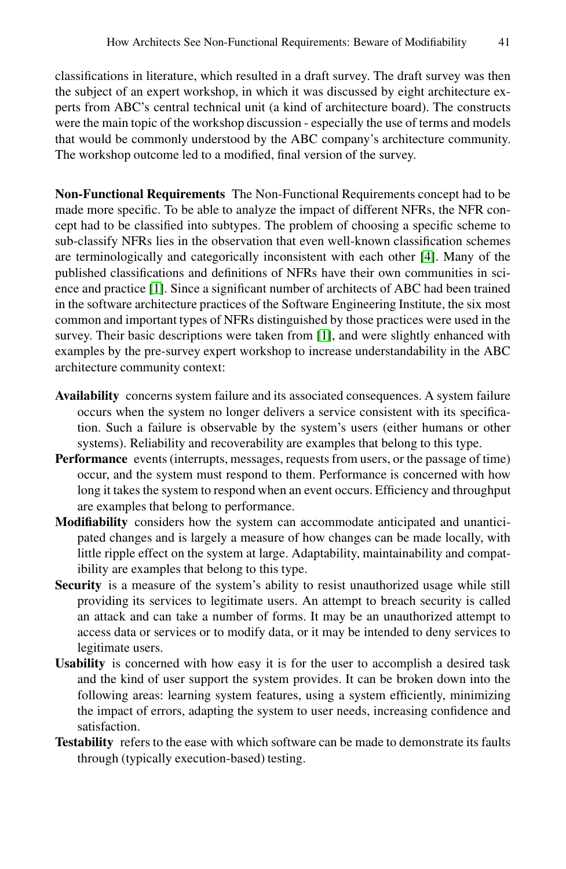classifications in literature, which resulted in a draft survey. The draft survey was then the subject of an expert workshop, in which it was discussed by eight architecture experts from ABC's central technical unit (a kind of architecture board). The constructs were the main topic of the workshop discussion - especially the use of terms and models that would be commonly understood by the AB[C](#page-13-2) [c](#page-13-2)ompany's architecture community. The workshop outcome led to a modified, final version of the survey.

**Non-Functional Requirements** The Non-Functional Requirements concept had to be made more specific. To be ab[le](#page-13-3) to analyze the impact of different NFRs, the NFR concept had to be classified into subtypes. The problem of choosing a specific scheme to sub-classify NFRs lies in the observation that even well-known classification schemes are terminologically and categorically inconsistent with each other [4]. Many of the published classifications and definitions of NFRs have their own communities in science and practice [1]. Since a significant number of architects of ABC had been trained in the software architecture practices of the Software Engineering Institute, the six most common and important types of NFRs distinguished by those practices were used in the survey. Their basic descriptions were taken from [1], and were slightly enhanced with examples by the pre-survey expert workshop to increase understandability in the ABC architecture community context:

- **Availability** concerns system failure and its associated consequences. A system failure occurs when the system no longer delivers a service consistent with its specification. Such a failure is observable by the system's users (either humans or other systems). Reliability and recoverability are examples that belong to this type.
- **Performance** events (interrupts, messages, requests from users, or the passage of time) occur, and the system must respond to them. Performance is concerned with how long it takes the system to respond when an event occurs. Efficiency and throughput are examples that belong to performance.
- **Modifiability** considers how the system can accommodate anticipated and unanticipated changes and is largely a measure of how changes can be made locally, with little ripple effect on the system at large. Adaptability, maintainability and compatibility are examples that belong to this type.
- **Security** is a measure of the system's ability to resist unauthorized usage while still providing its services to legitimate users. An attempt to breach security is called an attack and can take a number of forms. It may be an unauthorized attempt to access data or services or to modify data, or it may be intended to deny services to legitimate users.
- **Usability** is concerned with how easy it is for the user to accomplish a desired task and the kind of user support the system provides. It can be broken down into the following areas: learning system features, using a system efficiently, minimizing the impact of errors, adapting the system to user needs, increasing confidence and satisfaction.
- **Testability** refers to the ease with which software can be made to demonstrate its faults through (typically execution-based) testing.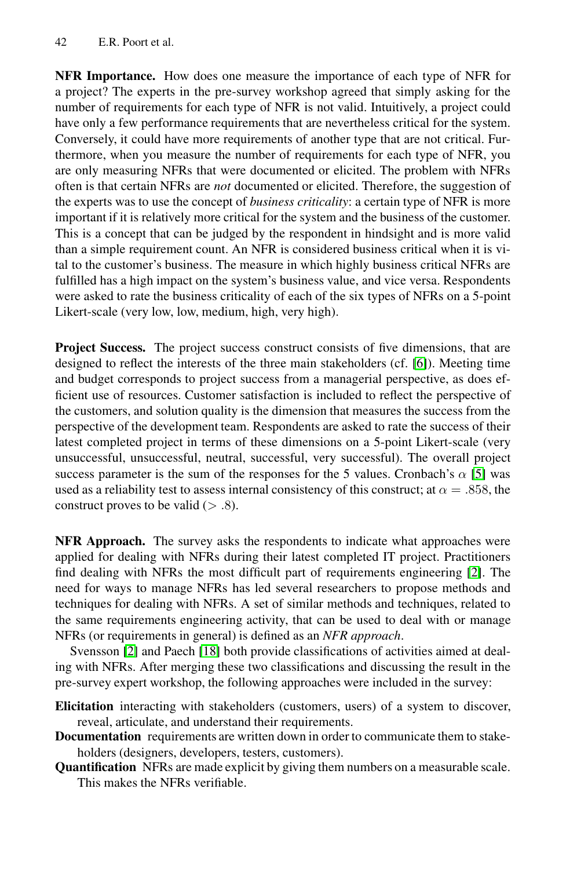<span id="page-5-0"></span>**NFR Importance.** How does one measure the importance of each type of NFR for a project? The experts in the pre-survey workshop agreed that simply asking for the number of requirements for each type of NFR is not valid. Intuitively, a project could have only a few performance requirements that are nevertheless critical for the system. Conversely, it could have more requirements of another type that are not critical. Furthermore, when you measure the number of requirements for each type of NFR, you are only measuring NFRs that were documented or elicited. The problem with NFRs often is that certain NFRs are *not* documented or elicited. Therefore, the suggestion of the experts was to use the concept of *business criticality*: a certain type of NFR is more important if it is relatively more critical for the system and the business of the customer. This is a concept that can be judged by the respondent in hindsight and is more valid than a simple requirement count. An NFR is co[ns](#page-13-4)idered business critical when it is vital to the customer's business. The measure in which highly business critical NFRs are fulfilled has a high impact on the system's business value, and vice versa. Respondents were asked to rate the business criticality of each of the six types of NFRs on a 5-point Likert-scale (very low, low, medium, high, very high).

**Project Success.** The project success construct consists [of](#page-13-5) five dimensions, that are designed to reflect the interests of the three main stakeholders (cf. [6]). Meeting time and budget corresponds to project success from a managerial perspective, as does efficient use of resources. Customer satisfaction is included to reflect the perspective of the customers, and solution quality is the dimension that measures the success from the perspective of the development team. Respondents are asked to rate the success of their latest completed project in terms of these dimensions on a 5-point Likert-scale (very unsuccessful, unsuccessful, neutral, successful, very suc[ces](#page-13-0)sful). The overall project success parameter is the sum of the responses for the 5 values. Cronbach's  $\alpha$  [5] was used as a reliability test to assess internal consistency of this construct; at  $\alpha = .858$ , the construct proves to be valid  $(> .8)$ .

**NFR [App](#page-14-3)roach.** The survey asks the respondents to indicate what approaches were applied for dealing with NFRs during their latest completed IT project. Practitioners find dealing with NFRs the most difficult part of requirements engineering [2]. The need for ways to manage NFRs has led several researchers to propose methods and techniques for dealing with NFRs. A set of similar methods and techniques, related to the same requirements engineering activity, that can be used to deal with or manage NFRs (or requirements in general) is defined as an *NFR approach*.

Svensson [2] and Paech [18] both provide classifications of activities aimed at dealing with NFRs. After merging these two classifications and discussing the result in the pre-survey expert workshop, the following approaches were included in the survey:

- **Elicitation** interacting with stakeholders (customers, users) of a system to discover, reveal, articulate, and understand their requirements.
- **Documentation** requirements are written down in order to communicate them to stakeholders (designers, developers, testers, customers).
- **Quantification** NFRs are made explicit by giving them numbers on a measurable scale. This makes the NFRs verifiable.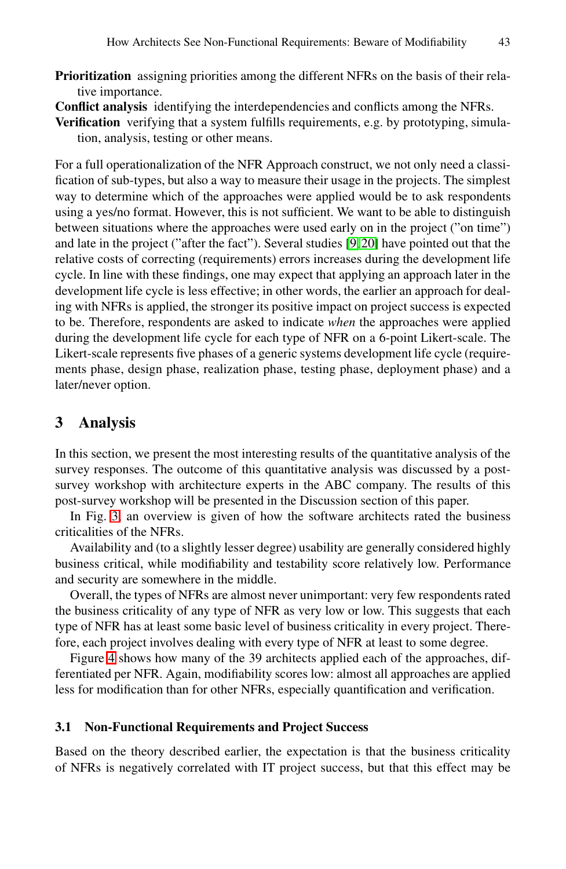**Prioritization** assigning priorities among the different NFRs on the basis of their relative importance.

**Conflict analysis** identifying the interdependencies and conflicts among the NFRs.

**Verification** verifying that a syste[m](#page-13-6) [fulfi](#page-14-4)lls requirements, e.g. by prototyping, simulation, analysis, testing or other means.

For a full operationalization of the NFR Approach construct, we not only need a classification of sub-types, but also a way to measure their usage in the projects. The simplest way to determine which of the approaches were applied would be to ask respondents using a yes/no format. However, this is not sufficient. We want to be able to distinguish between situations where the approaches were used early on in the project ("on time") and late in the project ("after the fact"). Several studies [9,20] have pointed out that the relative costs of correcting (requirements) errors increases during the development life cycle. In line with these findings, one may expect that applying an approach later in the development life cycle is less effective; in other words, the earlier an approach for dealing with NFRs is applied, the stronger its positive impact on project success is expected to be. Therefore, respondents are asked to indicate *when* the approaches were applied during the development life cycle for each type of NFR on a 6-point Likert-scale. The Likert-scale represents five phases of a generic systems development life cycle (requirements phase, design phase, realization phase, testing phase, deployment phase) and a later/never option.

# **3 Analysis**

In this section, we present the most interesting results of the quantitative analysis of the survey responses. The outcome of this quantitative analysis was discussed by a postsurvey workshop with architecture experts in the ABC company. The results of this post-survey workshop will be presented in the Discussion section of this paper.

In Fig. 3, an overview is given of how the software architects rated the business criticalities of the NFRs.

Availability and (to a slightly lesser degree) usability are generally considered highly business critical, while modifiability and testability score relatively low. Performance and security are somewhere in the middle.

Overall, the types of NFRs are almost never unimportant: very few respondents rated the business criticality of any type of NFR as very low or low. This suggests that each type of NFR has at least some basic level of business criticality in every project. Therefore, each project involves dealing with every type of NFR at least to some degree.

Figure 4 shows how many of the 39 architects applied each of the approaches, differentiated per NFR. Again, modifiability scores low: almost all approaches are applied less for modification than for other NFRs, especially quantification and verification.

## **3.1 Non-Functional Requirements and Project Success**

Based on the theory described earlier, the expectation is that the business criticality of NFRs is negatively correlated with IT project success, but that this effect may be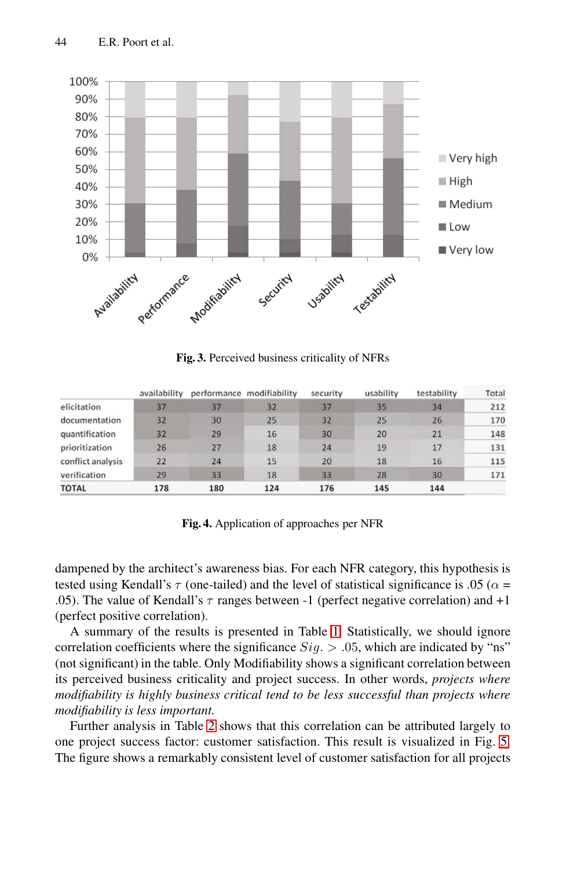

**Fig. 3.** Perceived business criticality of NFRs

|                   | availability |     | performance modifiability | security | usability | testability | Total |
|-------------------|--------------|-----|---------------------------|----------|-----------|-------------|-------|
| elicitation       | 37           | 37  | 32                        | 37       | 35        | 34          | 212   |
| documentation     | 32           | 30  | 25                        | 32       | 25        | 26          | 170   |
| quantification    | 32           | 29  | 16                        | 30       | 20        | 21          | 148   |
| prioritization    | 26           | 27  | 18                        | 24       | 19        | 17          | 131   |
| conflict analysis | 22           | 24  | 15                        | 20       | 18        | 16          | 115   |
| verification      | 29           | 33  | 18                        | 33       | 28        | 30          | 171   |
| <b>TOTAL</b>      | 178          | 180 | 124                       | 176      | 145       | 144         |       |

**Fig. 4.** Application of approaches per NFR

dampened by the architect's awareness bias. For each NFR category, this hypothesis is tested using Kendall's  $\tau$  (one-tailed) and the level of statistical significance is .05 ( $\alpha$  = .05). Th[e v](#page-8-0)alue of Kendall's  $\tau$  ranges between -1 (perfect negative correlation) and +1 (perfect positive correlation).

A summary of the results is presented in Table 1. Statistic[all](#page-8-1)y, we should ignore correlation coefficients where the significance  $Sig. > .05$ , which are indicated by "ns" (not significant) in the table. Only Modifiability shows a significant correlation between its perceived business criticality and project success. In other words, *projects where modifiability is highly business critical tend to be less successful than projects where modifiability is less important.*

Further analysis in Table 2 shows that this correlation can be attributed largely to one project success factor: customer satisfaction. This result is visualized in Fig. 5. The figure shows a remarkably consistent level of customer satisfaction for all projects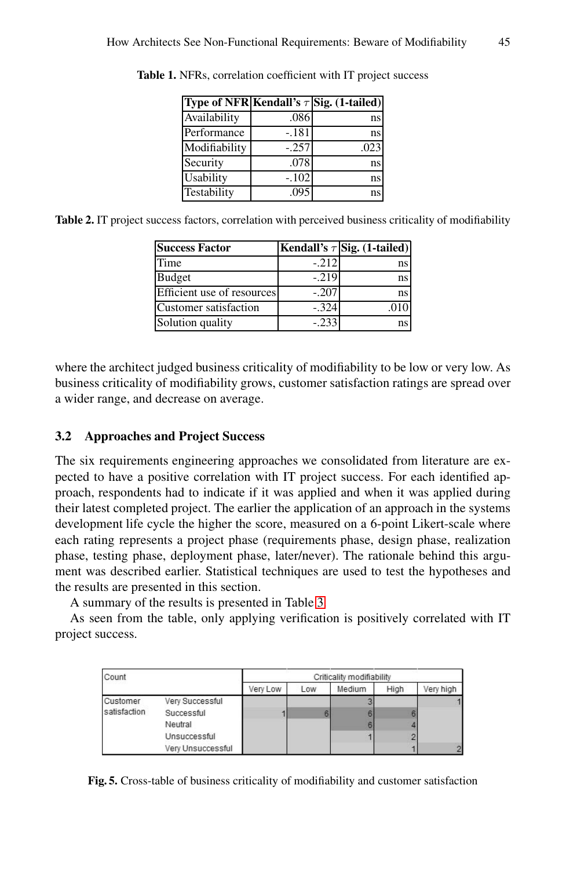|               |         | Type of NFR Kendall's $\tau$ Sig. (1-tailed) |
|---------------|---------|----------------------------------------------|
| Availability  | .086    | ns                                           |
| Performance   | $-.181$ | ns                                           |
| Modifiability | $-.257$ | .023                                         |
| Security      | .078    | ns                                           |
| Usability     | $-.102$ | ns                                           |
| Testability   | .095    | ns                                           |

<span id="page-8-0"></span>**Table 1.** NFRs, correlation coefficient with IT project success

**Table 2.** IT project success factors, correlation with perceived business criticality of modifiability

| <b>Success Factor</b>      |         | Kendall's $\tau$ Sig. (1-tailed) |
|----------------------------|---------|----------------------------------|
| Time                       | $-.212$ | ns                               |
| <b>Budget</b>              | $-219$  | ns                               |
| Efficient use of resources | $-.207$ | ns                               |
| Customer satisfaction      | $-.324$ |                                  |
| Solution quality           | $-.233$ |                                  |

where the architect judged business criticality of modifiability to be low or very low. As business criticality of modifiability grows, customer satisfaction ratings are spread over a wider range, and decrease on average.

## **3.2 Approaches and Project Success**

The six requirements engineering approaches we consolidated from literature are expected to have a positive co[rre](#page-9-0)lation with IT project success. For each identified approach, respondents had to indicate if it was applied and when it was applied during their latest completed project. The earlier the application of an approach in the systems development life cycle the higher the score, measured on a 6-point Likert-scale where each rating represents a project phase (requirements phase, design phase, realization phase, testing phase, deployment phase, later/never). The rationale behind this argument was described earlier. Statistical techniques are used to test the hypotheses and the results are presented in this section.

<span id="page-8-1"></span>A summary of the results is presented in Table 3.

As seen from the table, only applying verification is positively correlated with IT project success.

| Count        |                   | Criticality modifiability |     |        |      |                |
|--------------|-------------------|---------------------------|-----|--------|------|----------------|
|              |                   | Very Low                  | Low | Medium | High | Very high      |
| Customer     | Very Successful   |                           |     |        |      |                |
| satisfaction | Successful        |                           |     |        |      |                |
|              | Neutral           |                           |     |        |      |                |
|              | Unsuccessful      |                           |     |        |      |                |
|              | Very Unsuccessful |                           |     |        |      | $\overline{2}$ |

**Fig. 5.** Cross-table of business criticality of modifiability and customer satisfaction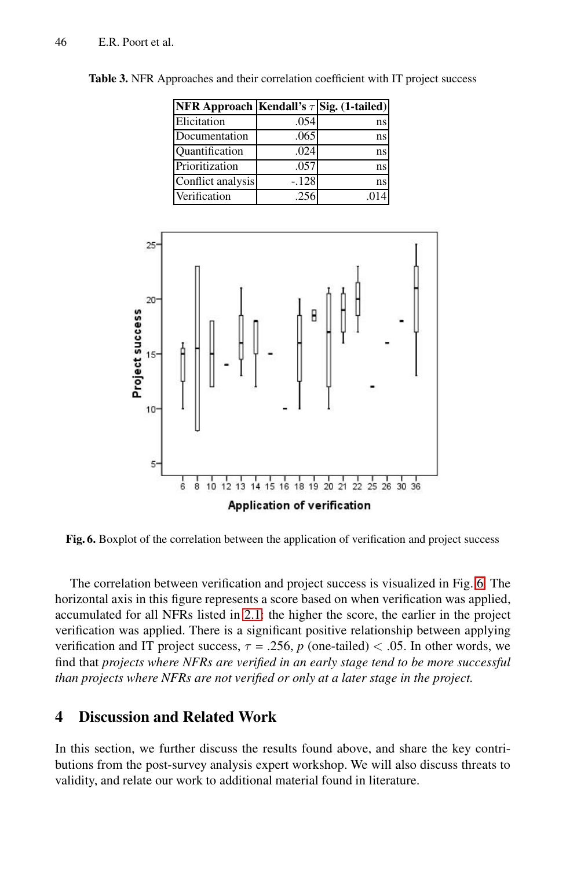| <b>NFR Approach Kendall's <math>\tau</math></b> Sig. (1-tailed) |         |    |
|-----------------------------------------------------------------|---------|----|
| Elicitation                                                     | .054    | ns |
| Documentation                                                   | .065    | ns |
| Ouantification                                                  | .024    | ns |
| Prioritization                                                  | .057    | ns |
| Conflict analysis                                               | $-.128$ | ns |
| Verification                                                    | .256    |    |

<span id="page-9-0"></span>**Table 3.** NFR Approaches and their correlation coefficient with IT project success



**Fig. 6.** Boxplot of the correlation between the application of verification and project success

The correlation between verification and project success is visualized in Fig. 6. The horizontal axis in this figure represents a score based on when verification was applied, accumulated for all NFRs listed in 2.1: the higher the score, the earlier in the project verification was applied. There is a significant positive relationship between applying verification and IT project success,  $\tau = .256$ , *p* (one-tailed) < .05. In other words, we find that *projects where NFRs are verified in an early stage tend to be more successful than projects where NFRs are not verified or only at a later stage in the project.*

# **4 Discussion and Related Work**

In this section, we further discuss the results found above, and share the key contributions from the post-survey analysis expert workshop. We will also discuss threats to validity, and relate our work to additional material found in literature.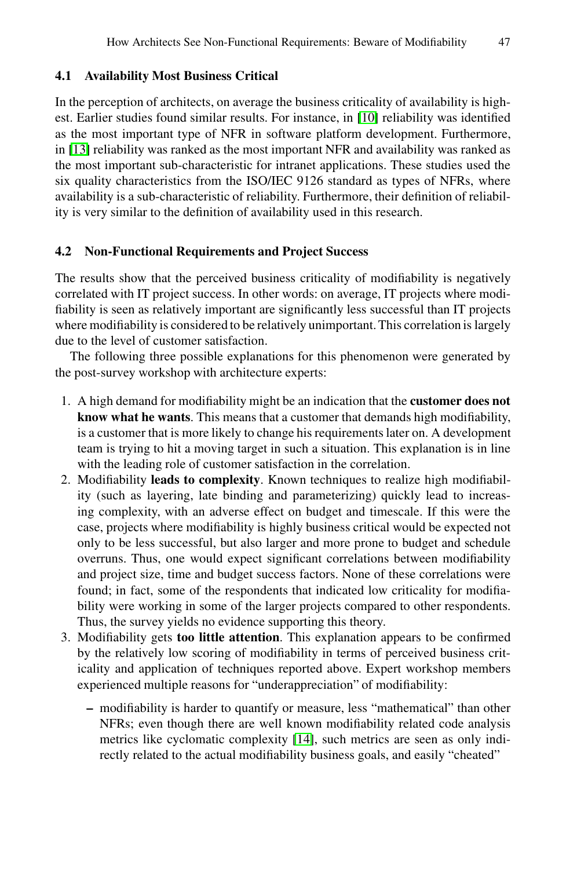## <span id="page-10-0"></span>**4.1 Availability Most Business Critical**

In the perception of architects, on average the business criticality of availability is highest. Earlier studies found similar results. For instance, in [10] reliability was identified as the most important type of NFR in software platform development. Furthermore, in [13] reliability was ranked as the most important NFR and availability was ranked as the most important sub-characteristic for intranet applications. These studies used the six quality characteristics from the ISO/IEC 9126 standard as types of NFRs, where availability is a sub-characteristic of reliability. Furthermore, their definition of reliability is very similar to the definition of availability used in this research.

### **4.2 Non-Functional Requirements and Project Success**

The results show that the perceived business criticality of modifiability is negatively correlated with IT project success. In other words: on average, IT projects where modifiability is seen as relatively important are significantly less successful than IT projects where modifiability is considered to be relatively unimportant. This correlation is largely due to the level of customer satisfaction.

The following three possible explanations for this phenomenon were generated by the post-survey workshop with architecture experts:

- 1. A high demand for modifiability might be an indication that the **customer does not know what he wants**. This means that a customer that demands high modifiability, is a customer that is more likely to change his requirements later on. A development team is trying to hit a moving target in such a situation. This explanation is in line with the leading role of customer satisfaction in the correlation.
- 2. Modifiability **leads to complexity**. Known techniques to realize high modifiability (such as layering, late binding and parameterizing) quickly lead to increasing complexity, with an adverse effect on budget and timescale. If this were the case, projects where modifiability is highly business critical would be expected not only to be less successful, but also larger and more prone to budget and schedule overruns. Thus, one would expect significant correlations between modifiability and project size, time and budget success factors. None of these correlations were found; in fact, some of the respondents that indicated low criticality for modifiability were working in some of the larger projects compared to other respondents. Thus, the survey yie[lds](#page-14-5) [n](#page-14-5)o evidence supporting this theory.
- 3. Modifiability gets **too little attention**. This explanation appears to be confirmed by the relatively low scoring of modifiability in terms of perceived business criticality and application of techniques reported above. Expert workshop members experienced multiple reasons for "underappreciation" of modifiability:
	- **–** modifiability is harder to quantify or measure, less "mathematical" than other NFRs; even though there are well known modifiability related code analysis metrics like cyclomatic complexity [14], such metrics are seen as only indirectly related to the actual modifiability business goals, and easily "cheated"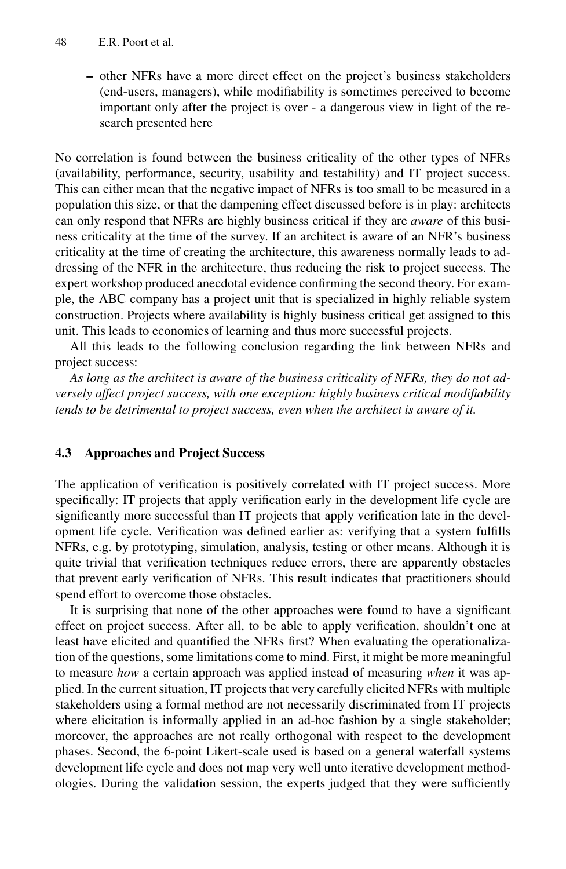**–** other NFRs have a more direct effect on the project's business stakeholders (end-users, managers), while modifiability is sometimes perceived to become important only after the project is over - a dangerous view in light of the research presented here

No correlation is found between the business criticality of the other types of NFRs (availability, performance, security, usability and testability) and IT project success. This can either mean that the negative impact of NFRs is too small to be measured in a population this size, or that the dampening effect discussed before is in play: architects can only respond that NFRs are highly business critical if they are *aware* of this business criticality at the time of the survey. If an architect is aware of an NFR's business criticality at the time of creating the architecture, this awareness normally leads to addressing of the NFR in the architecture, thus reducing the risk to project success. The expert workshop produced anecdotal evidence confirming the second theory. For example, the ABC company has a project unit that is specialized in highly reliable system construction. Projects where availability is highly business critical get assigned to this unit. This leads to economies of learning and thus more successful projects.

All this leads to the following conclusion regarding the link between NFRs and project success:

*As long as the architect is aware of the business criticality of NFRs, they do not adversely affect project success, with one exception: highly business critical modifiability tends to be detrimental to project success, even when the architect is aware of it.*

# **4.3 Approaches and Project Success**

The application of verification is positively correlated with IT project success. More specifically: IT projects that apply verification early in the development life cycle are significantly more successful than IT projects that apply verification late in the development life cycle. Verification was defined earlier as: verifying that a system fulfills NFRs, e.g. by prototyping, simulation, analysis, testing or other means. Although it is quite trivial that verification techniques reduce errors, there are apparently obstacles that prevent early verification of NFRs. This result indicates that practitioners should spend effort to overcome those obstacles.

It is surprising that none of the other approaches were found to have a significant effect on project success. After all, to be able to apply verification, shouldn't one at least have elicited and quantified the NFRs first? When evaluating the operationalization of the questions, some limitations come to mind. First, it might be more meaningful to measure *how* a certain approach was applied instead of measuring *when* it was applied. In the current situation, IT projects that very carefully elicited NFRs with multiple stakeholders using a formal method are not necessarily discriminated from IT projects where elicitation is informally applied in an ad-hoc fashion by a single stakeholder; moreover, the approaches are not really orthogonal with respect to the development phases. Second, the 6-point Likert-scale used is based on a general waterfall systems development life cycle and does not map very well unto iterative development methodologies. During the validation session, the experts judged that they were sufficiently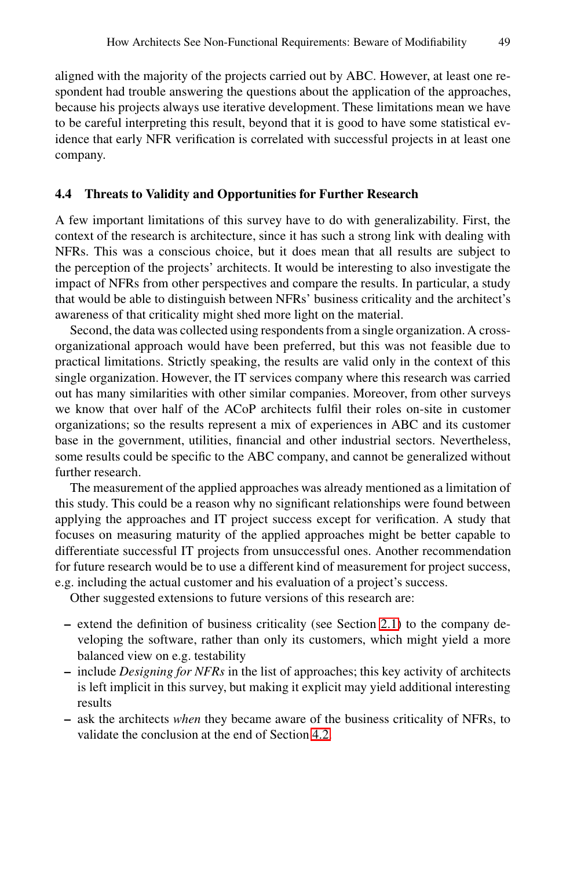aligned with the majority of the projects carried out by ABC. However, at least one respondent had trouble answering the questions about the application of the approaches, because his projects always use iterative development. These limitations mean we have to be careful interpreting this result, beyond that it is good to have some statistical evidence that early NFR verification is correlated with successful projects in at least one company.

## **4.4 Threats to Validity and Opportunities for Further Research**

A few important limitations of this survey have to do with generalizability. First, the context of the research is architecture, since it has such a strong link with dealing with NFRs. This was a conscious choice, but it does mean that all results are subject to the perception of the projects' architects. It would be interesting to also investigate the impact of NFRs from other perspectives and compare the results. In particular, a study that would be able to distinguish between NFRs' business criticality and the architect's awareness of that criticality might shed more light on the material.

Second, the data was collected using respondents from a single organization. A crossorganizational approach would have been preferred, but this was not feasible due to practical limitations. Strictly speaking, the results are valid only in the context of this single organization. However, the IT services company where this research was carried out has many similarities with other similar companies. Moreover, from other surveys we know that over half of the ACoP architects fulfil their roles on-site in customer organizations; so the results represent a mix of experiences in ABC and its customer base in the government, utilities, financial and other industrial sectors. Nevertheless, some results could be specific to the ABC company, and cannot be generalized without further research.

The measurement of the applied approaches was already mentioned as a limitation of this study. This could be a reason why n[o sig](#page-5-0)nificant relationships were found between applying the approaches and IT project success except for verification. A study that focuses on measuring maturity of the applied approaches might be better capable to differentiate successful IT projects from unsuccessful ones. Another recommendation for future research would be to use a different kind of measurement for project success, e.g. including the actual customer and his evaluation of a project's success.

Other suggested extensions to future versions of this research are:

- **–** extend the definition o[f](#page-10-0) [bus](#page-10-0)iness criticality (see Section 2.1) to the company developing the software, rather than only its customers, which might yield a more balanced view on e.g. testability
- **–** include *Designing for NFRs* in the list of approaches; this key activity of architects is left implicit in this survey, but making it explicit may yield additional interesting results
- **–** ask the architects *when* they became aware of the business criticality of NFRs, to validate the conclusion at the end of Section 4.2.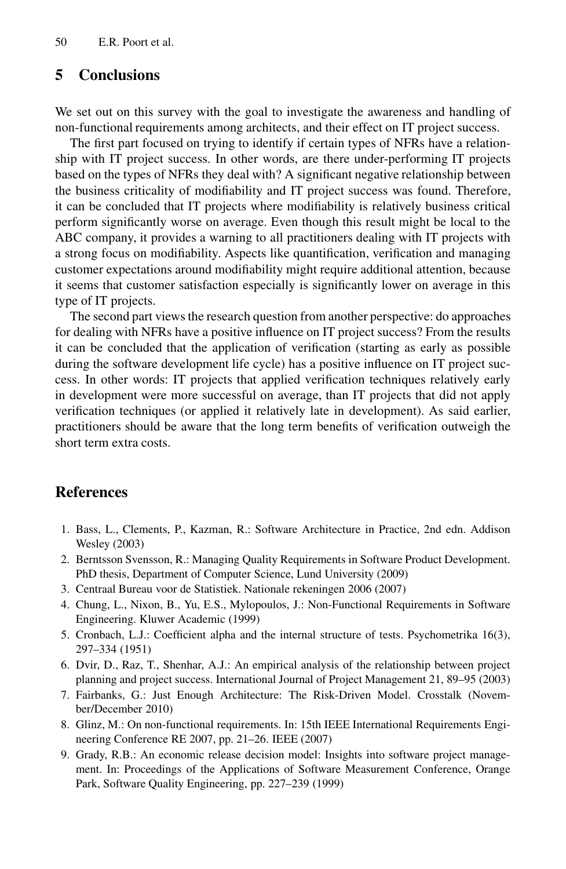# **5 Conclusions**

We set out on this survey with the goal to investigate the awareness and handling of non-functional requirements among architects, and their effect on IT project success.

The first part focused on trying to identify if certain types of NFRs have a relationship with IT project success. In other words, are there under-performing IT projects based on the types of NFRs they deal with? A significant negative relationship between the business criticality of modifiability and IT project success was found. Therefore, it can be concluded that IT projects where modifiability is relatively business critical perform significantly worse on average. Even though this result might be local to the ABC company, it provides a warning to all practitioners dealing with IT projects with a strong focus on modifiability. Aspects like quantification, verification and managing customer expectations around modifiability might require additional attention, because it seems that customer satisfaction especially is significantly lower on average in this type of IT projects.

<span id="page-13-3"></span>The second part views the research question from another perspective: do approaches for dealing with NFRs have a positive influence on IT project success? From the results it can be concluded that the application of verification (starting as early as possible during the software development life cycle) has a positive influence on IT project success. In other words: IT projects that applied verification techniques relatively early in development were more successful on average, than IT projects that did not apply verification techniques (or applied it relatively late in development). As said earlier, practitioners should be aware that the long term benefits of verification outweigh the short term extra costs.

# <span id="page-13-2"></span><span id="page-13-0"></span>**References**

- <span id="page-13-5"></span><span id="page-13-4"></span>1. Bass, L., Clements, P., Kazman, R.: Software Architecture in Practice, 2nd edn. Addison Wesley (2003)
- <span id="page-13-1"></span>2. Berntsson Svensson, R.: Managing Quality Requirements in Software Product Development. PhD thesis, Department of Computer Science, Lund University (2009)
- 3. Centraal Bureau voor de Statistiek. Nationale rekeningen 2006 (2007)
- 4. Chung, L., Nixon, B., Yu, E.S., Mylopoulos, J.: Non-Functional Requirements in Software Engineering. Kluwer Academic (1999)
- <span id="page-13-6"></span>5. Cronbach, L.J.: Coefficient alpha and the internal structure of tests. Psychometrika 16(3), 297–334 (1951)
- 6. Dvir, D., Raz, T., Shenhar, A.J.: An empirical analysis of the relationship between project planning and project success. International Journal of Project Management 21, 89–95 (2003)
- 7. Fairbanks, G.: Just Enough Architecture: The Risk-Driven Model. Crosstalk (November/December 2010)
- 8. Glinz, M.: On non-functional requirements. In: 15th IEEE International Requirements Engineering Conference RE 2007, pp. 21–26. IEEE (2007)
- 9. Grady, R.B.: An economic release decision model: Insights into software project management. In: Proceedings of the Applications of Software Measurement Conference, Orange Park, Software Quality Engineering, pp. 227–239 (1999)